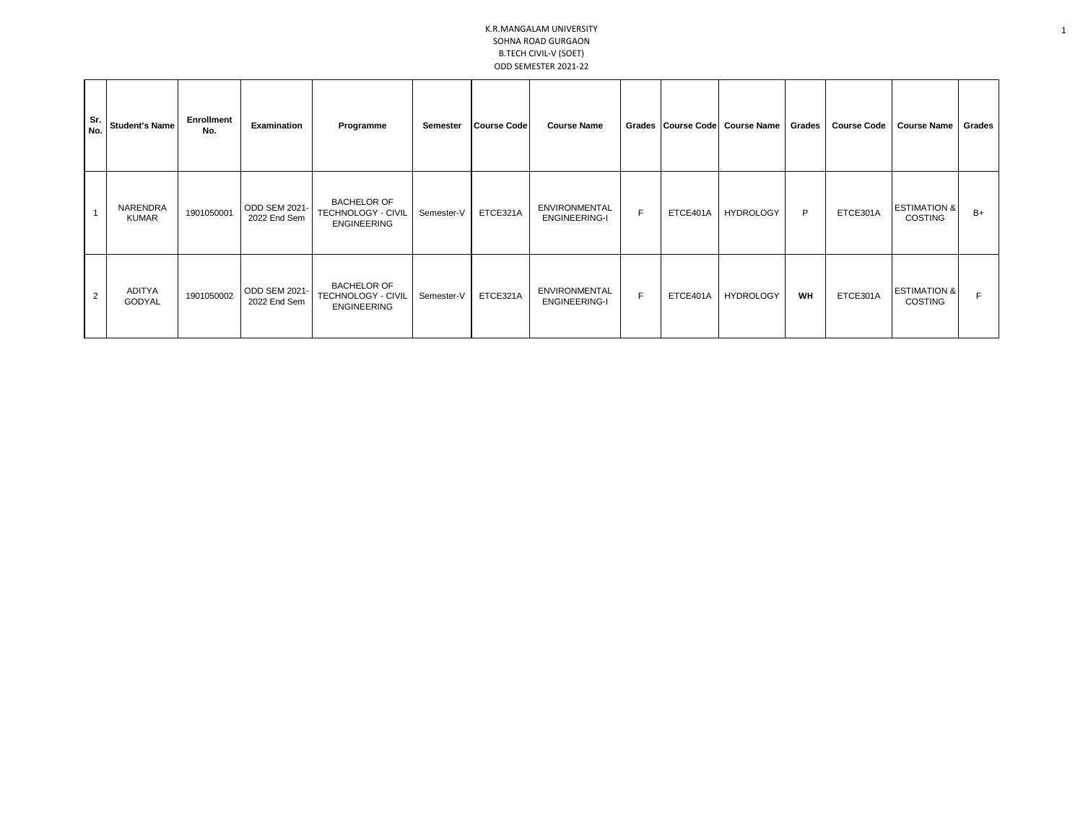## K.R.MANGALAM UNIVERSITY SOHNA ROAD GURGAON B.TECH CIVIL-V (SOET) ODD SEMESTER 2021-22

| Sr.<br>No. | <b>Student's Name</b>    | Enrollment<br>No. | Examination                         | Programme                                                      | Semester   | Course Code | <b>Course Name</b>                           |   | Grades Course Code | <b>Course Name</b> | Grades    | <b>Course Code</b> | <b>Course Name</b>                        | Grades |
|------------|--------------------------|-------------------|-------------------------------------|----------------------------------------------------------------|------------|-------------|----------------------------------------------|---|--------------------|--------------------|-----------|--------------------|-------------------------------------------|--------|
|            | NARENDRA<br><b>KUMAR</b> | 1901050001        | <b>ODD SEM 2021</b><br>2022 End Sem | <b>BACHELOR OF</b><br>TECHNOLOGY - CIVIL<br><b>ENGINEERING</b> | Semester-V | ETCE321A    | <b>ENVIRONMENTAL</b><br><b>ENGINEERING-I</b> | F | ETCE401A           | <b>HYDROLOGY</b>   | P         | ETCE301A           | <b>ESTIMATION &amp;</b><br><b>COSTING</b> | $B+$   |
| 2          | <b>ADITYA</b><br>GODYAL  | 1901050002        | ODD SEM 2021-<br>2022 End Sem       | <b>BACHELOR OF</b><br>TECHNOLOGY - CIVIL<br><b>ENGINEERING</b> | Semester-V | ETCE321A    | <b>ENVIRONMENTAL</b><br><b>ENGINEERING-I</b> | E | ETCE401A           | <b>HYDROLOGY</b>   | <b>WH</b> | ETCE301A           | <b>ESTIMATION &amp;</b><br><b>COSTING</b> |        |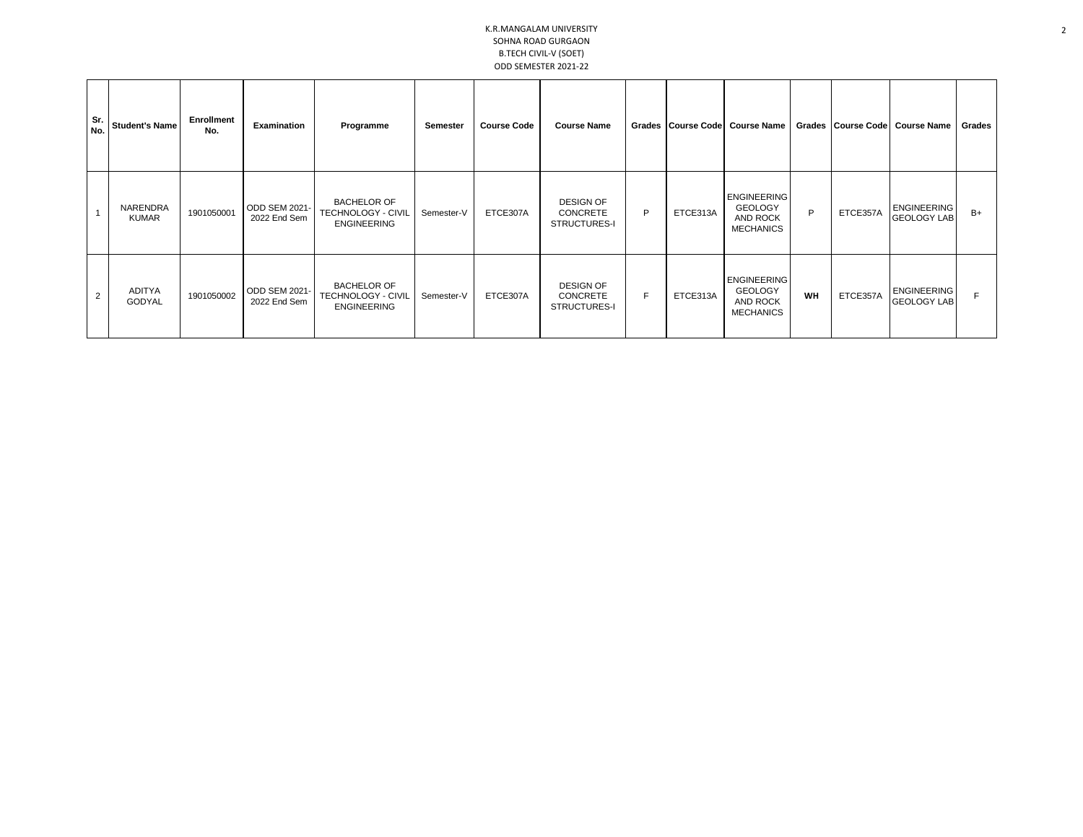## K.R.MANGALAM UNIVERSITY SOHNA ROAD GURGAON B.TECH CIVIL-V (SOET) ODD SEMESTER 2021-22

| Sr.<br>No. | <b>Student's Name</b>    | Enrollment<br>No. | Examination                          | Programme                                                             | Semester   | <b>Course Code</b> | <b>Course Name</b>                                  |   |          | Grades Course Code Course Name                                       |    |          | Grades Course Code Course Name           | <b>Grades</b> |
|------------|--------------------------|-------------------|--------------------------------------|-----------------------------------------------------------------------|------------|--------------------|-----------------------------------------------------|---|----------|----------------------------------------------------------------------|----|----------|------------------------------------------|---------------|
|            | NARENDRA<br><b>KUMAR</b> | 1901050001        | ODD SEM 2021-<br>2022 End Sem        | <b>BACHELOR OF</b><br><b>TECHNOLOGY - CIVIL</b><br><b>ENGINEERING</b> | Semester-V | ETCE307A           | <b>DESIGN OF</b><br><b>CONCRETE</b><br>STRUCTURES-I | P | ETCE313A | <b>ENGINEERING</b><br><b>GEOLOGY</b><br>AND ROCK<br><b>MECHANICS</b> | P  | ETCE357A | <b>ENGINEERING</b><br><b>GEOLOGY LAB</b> | $B+$          |
| 2          | ADITYA<br>GODYAL         | 1901050002        | <b>ODD SEM 2021-</b><br>2022 End Sem | <b>BACHELOR OF</b><br>TECHNOLOGY - CIVIL<br><b>ENGINEERING</b>        | Semester-V | ETCE307A           | <b>DESIGN OF</b><br><b>CONCRETE</b><br>STRUCTURES-I | F | ETCE313A | <b>ENGINEERING</b><br><b>GEOLOGY</b><br>AND ROCK<br><b>MECHANICS</b> | WH | ETCE357A | <b>ENGINEERING</b><br><b>GEOLOGY LAB</b> |               |